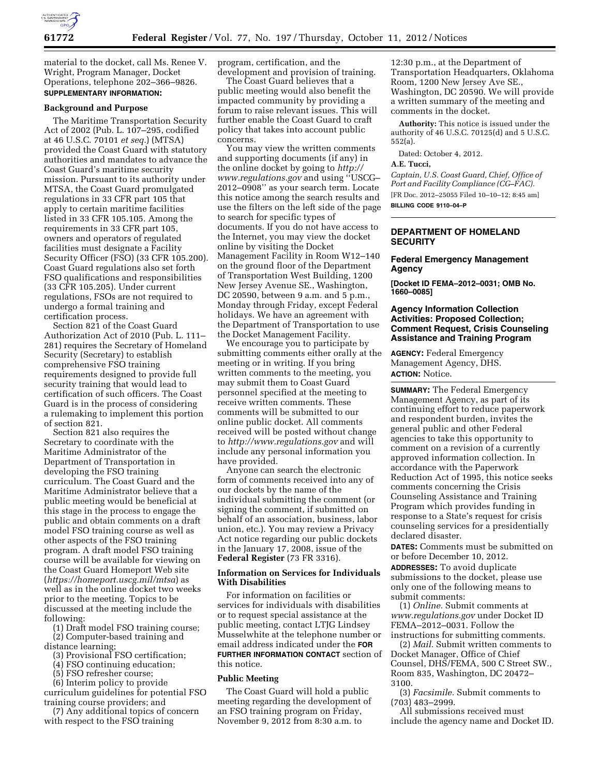

material to the docket, call Ms. Renee V. Wright, Program Manager, Docket Operations, telephone 202–366–9826. **SUPPLEMENTARY INFORMATION:** 

#### **Background and Purpose**

The Maritime Transportation Security Act of 2002 (Pub. L. 107–295, codified at 46 U.S.C. 70101 *et seq.*) (MTSA) provided the Coast Guard with statutory authorities and mandates to advance the Coast Guard's maritime security mission. Pursuant to its authority under MTSA, the Coast Guard promulgated regulations in 33 CFR part 105 that apply to certain maritime facilities listed in 33 CFR 105.105. Among the requirements in 33 CFR part 105, owners and operators of regulated facilities must designate a Facility Security Officer (FSO) (33 CFR 105.200). Coast Guard regulations also set forth FSO qualifications and responsibilities (33 CFR 105.205). Under current regulations, FSOs are not required to undergo a formal training and certification process.

Section 821 of the Coast Guard Authorization Act of 2010 (Pub. L. 111– 281) requires the Secretary of Homeland Security (Secretary) to establish comprehensive FSO training requirements designed to provide full security training that would lead to certification of such officers. The Coast Guard is in the process of considering a rulemaking to implement this portion of section 821.

Section 821 also requires the Secretary to coordinate with the Maritime Administrator of the Department of Transportation in developing the FSO training curriculum. The Coast Guard and the Maritime Administrator believe that a public meeting would be beneficial at this stage in the process to engage the public and obtain comments on a draft model FSO training course as well as other aspects of the FSO training program. A draft model FSO training course will be available for viewing on the Coast Guard Homeport Web site (*<https://homeport.uscg.mil/mtsa>*) as well as in the online docket two weeks prior to the meeting. Topics to be discussed at the meeting include the following:

(1) Draft model FSO training course; (2) Computer-based training and distance learning;

- (3) Provisional FSO certification;
- (4) FSO continuing education;
- (5) FSO refresher course;

(6) Interim policy to provide curriculum guidelines for potential FSO training course providers; and

(7) Any additional topics of concern with respect to the FSO training

program, certification, and the development and provision of training.

The Coast Guard believes that a public meeting would also benefit the impacted community by providing a forum to raise relevant issues. This will further enable the Coast Guard to craft policy that takes into account public concerns.

You may view the written comments and supporting documents (if any) in the online docket by going to *[http://](http://www.regulations.gov)  [www.regulations.gov](http://www.regulations.gov)* and using ''USCG– 2012–0908'' as your search term. Locate this notice among the search results and use the filters on the left side of the page to search for specific types of documents. If you do not have access to the Internet, you may view the docket online by visiting the Docket Management Facility in Room W12–140 on the ground floor of the Department of Transportation West Building, 1200 New Jersey Avenue SE., Washington, DC 20590, between 9 a.m. and 5 p.m., Monday through Friday, except Federal holidays. We have an agreement with the Department of Transportation to use the Docket Management Facility.

We encourage you to participate by submitting comments either orally at the meeting or in writing. If you bring written comments to the meeting, you may submit them to Coast Guard personnel specified at the meeting to receive written comments. These comments will be submitted to our online public docket. All comments received will be posted without change to *<http://www.regulations.gov>*and will include any personal information you have provided.

Anyone can search the electronic form of comments received into any of our dockets by the name of the individual submitting the comment (or signing the comment, if submitted on behalf of an association, business, labor union, etc.). You may review a Privacy Act notice regarding our public dockets in the January 17, 2008, issue of the **Federal Register** (73 FR 3316).

#### **Information on Services for Individuals With Disabilities**

For information on facilities or services for individuals with disabilities or to request special assistance at the public meeting, contact LTJG Lindsey Musselwhite at the telephone number or email address indicated under the **FOR FURTHER INFORMATION CONTACT** section of this notice.

#### **Public Meeting**

The Coast Guard will hold a public meeting regarding the development of an FSO training program on Friday, November 9, 2012 from 8:30 a.m. to

12:30 p.m., at the Department of Transportation Headquarters, Oklahoma Room, 1200 New Jersey Ave SE., Washington, DC 20590. We will provide a written summary of the meeting and comments in the docket.

**Authority:** This notice is issued under the authority of 46 U.S.C. 70125(d) and 5 U.S.C. 552(a).

Dated: October 4, 2012.

#### **A.E. Tucci,**

*Captain, U.S. Coast Guard, Chief, Office of Port and Facility Compliance (CG–FAC).*  [FR Doc. 2012–25055 Filed 10–10–12; 8:45 am] **BILLING CODE 9110–04–P** 

## **DEPARTMENT OF HOMELAND SECURITY**

### **Federal Emergency Management Agency**

**[Docket ID FEMA–2012–0031; OMB No. 1660–0085]** 

## **Agency Information Collection Activities: Proposed Collection; Comment Request, Crisis Counseling Assistance and Training Program**

**AGENCY:** Federal Emergency Management Agency, DHS. **ACTION:** Notice.

**SUMMARY:** The Federal Emergency Management Agency, as part of its continuing effort to reduce paperwork and respondent burden, invites the general public and other Federal agencies to take this opportunity to comment on a revision of a currently approved information collection. In accordance with the Paperwork Reduction Act of 1995, this notice seeks comments concerning the Crisis Counseling Assistance and Training Program which provides funding in response to a State's request for crisis counseling services for a presidentially declared disaster.

**DATES:** Comments must be submitted on or before December 10, 2012.

**ADDRESSES:** To avoid duplicate submissions to the docket, please use only one of the following means to submit comments:

(1) *Online.* Submit comments at *[www.regulations.gov](http://www.regulations.gov)* under Docket ID FEMA–2012–0031. Follow the

instructions for submitting comments. (2) *Mail.* Submit written comments to Docket Manager, Office of Chief Counsel, DHS/FEMA, 500 C Street SW., Room 835, Washington, DC 20472– 3100.

(3) *Facsimile.* Submit comments to (703) 483–2999.

All submissions received must include the agency name and Docket ID.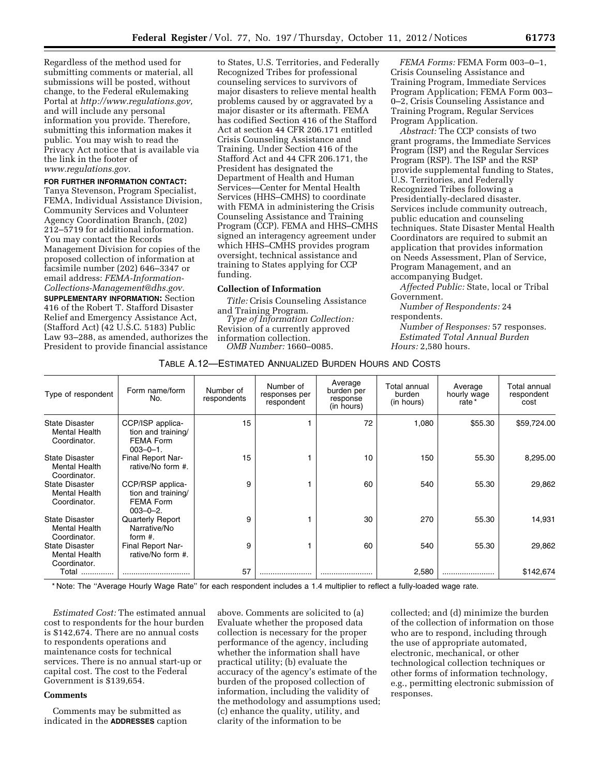Regardless of the method used for submitting comments or material, all submissions will be posted, without change, to the Federal eRulemaking Portal at *[http://www.regulations.gov,](http://www.regulations.gov)*  and will include any personal information you provide. Therefore, submitting this information makes it public. You may wish to read the Privacy Act notice that is available via the link in the footer of *[www.regulations.gov.](http://www.regulations.gov)* 

# **FOR FURTHER INFORMATION CONTACT:**

Tanya Stevenson, Program Specialist, FEMA, Individual Assistance Division, Community Services and Volunteer Agency Coordination Branch, (202) 212–5719 for additional information. You may contact the Records Management Division for copies of the proposed collection of information at facsimile number (202) 646–3347 or email address: *[FEMA-Information-](mailto:FEMA-Information-Collections-Management@dhs.gov)[Collections-Management@dhs.gov.](mailto:FEMA-Information-Collections-Management@dhs.gov)* 

**SUPPLEMENTARY INFORMATION:** Section 416 of the Robert T. Stafford Disaster Relief and Emergency Assistance Act, (Stafford Act) (42 U.S.C. 5183) Public Law 93–288, as amended, authorizes the President to provide financial assistance

to States, U.S. Territories, and Federally Recognized Tribes for professional counseling services to survivors of major disasters to relieve mental health problems caused by or aggravated by a major disaster or its aftermath. FEMA has codified Section 416 of the Stafford Act at section 44 CFR 206.171 entitled Crisis Counseling Assistance and Training. Under Section 416 of the Stafford Act and 44 CFR 206.171, the President has designated the Department of Health and Human Services—Center for Mental Health Services (HHS–CMHS) to coordinate with FEMA in administering the Crisis Counseling Assistance and Training Program (CCP). FEMA and HHS–CMHS signed an interagency agreement under which HHS–CMHS provides program oversight, technical assistance and training to States applying for CCP funding.

#### **Collection of Information**

*Title:* Crisis Counseling Assistance

and Training Program. *Type of Information Collection:*  Revision of a currently approved information collection. *OMB Number:* 1660–0085.

*FEMA Forms:* FEMA Form 003–0–1, Crisis Counseling Assistance and Training Program, Immediate Services Program Application; FEMA Form 003– 0–2, Crisis Counseling Assistance and Training Program, Regular Services Program Application.

*Abstract:* The CCP consists of two grant programs, the Immediate Services Program (ISP) and the Regular Services Program (RSP). The ISP and the RSP provide supplemental funding to States, U.S. Territories, and Federally Recognized Tribes following a Presidentially-declared disaster. Services include community outreach, public education and counseling techniques. State Disaster Mental Health Coordinators are required to submit an application that provides information on Needs Assessment, Plan of Service, Program Management, and an accompanying Budget.

*Affected Public:* State, local or Tribal Government.

*Number of Respondents:* 24 respondents.

*Number of Responses:* 57 responses. *Estimated Total Annual Burden Hours:* 2,580 hours.

## TABLE A.12—ESTIMATED ANNUALIZED BURDEN HOURS AND COSTS

| Type of respondent                                            | Form name/form<br>No.                                                  | Number of<br>respondents | Number of<br>responses per<br>respondent | Average<br>burden per<br>response<br>(in hours) | Total annual<br>burden<br>(in hours) | Average<br>hourly wage<br>rate * | Total annual<br>respondent<br>cost |
|---------------------------------------------------------------|------------------------------------------------------------------------|--------------------------|------------------------------------------|-------------------------------------------------|--------------------------------------|----------------------------------|------------------------------------|
| <b>State Disaster</b><br><b>Mental Health</b><br>Coordinator. | CCP/ISP applica-<br>tion and training/<br>FEMA Form<br>$003 - 0 - 1$ . | 15                       |                                          | 72                                              | 1,080                                | \$55.30                          | \$59,724.00                        |
| <b>State Disaster</b><br><b>Mental Health</b><br>Coordinator. | Final Report Nar-<br>rative/No form #.                                 | 15                       |                                          | 10                                              | 150                                  | 55.30                            | 8,295.00                           |
| <b>State Disaster</b><br><b>Mental Health</b><br>Coordinator. | CCP/RSP applica-<br>tion and training/<br>FEMA Form<br>$003 - 0 - 2$ . | 9                        |                                          | 60                                              | 540                                  | 55.30                            | 29,862                             |
| <b>State Disaster</b><br><b>Mental Health</b><br>Coordinator. | Quarterly Report<br>Narrative/No<br>form $#$ .                         | 9                        |                                          | 30                                              | 270                                  | 55.30                            | 14,931                             |
| State Disaster<br><b>Mental Health</b><br>Coordinator.        | Final Report Nar-<br>rative/No form #.                                 | 9                        |                                          | 60                                              | 540                                  | 55.30                            | 29,862                             |
| Total                                                         |                                                                        | 57                       |                                          |                                                 | 2,580                                |                                  | \$142,674                          |

\* Note: The ''Average Hourly Wage Rate'' for each respondent includes a 1.4 multiplier to reflect a fully-loaded wage rate.

*Estimated Cost:* The estimated annual cost to respondents for the hour burden is \$142,674. There are no annual costs to respondents operations and maintenance costs for technical services. There is no annual start-up or capital cost. The cost to the Federal Government is \$139,654.

### **Comments**

Comments may be submitted as indicated in the **ADDRESSES** caption

above. Comments are solicited to (a) Evaluate whether the proposed data collection is necessary for the proper performance of the agency, including whether the information shall have practical utility; (b) evaluate the accuracy of the agency's estimate of the burden of the proposed collection of information, including the validity of the methodology and assumptions used; (c) enhance the quality, utility, and clarity of the information to be

collected; and (d) minimize the burden of the collection of information on those who are to respond, including through the use of appropriate automated, electronic, mechanical, or other technological collection techniques or other forms of information technology, e.g., permitting electronic submission of responses.